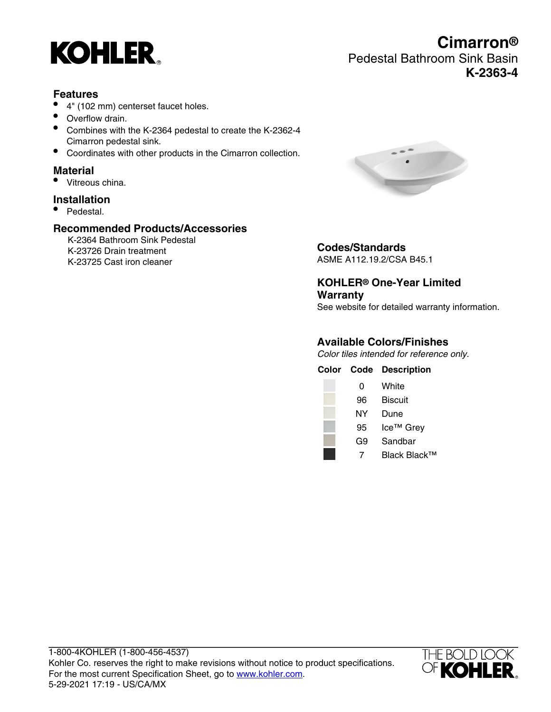

# **Cimarron®** Pedestal Bathroom Sink Basin **K-2363-4**

#### **Features**

- 4" (102 mm) centerset faucet holes.
- Overflow drain.
- Combines with the K-2364 pedestal to create the K-2362-4 Cimarron pedestal sink.
- Coordinates with other products in the Cimarron collection.

### **Material**

• Vitreous china.

### **Installation**

• Pedestal.

## **Recommended Products/Accessories**

K-2364 Bathroom Sink Pedestal K-23726 Drain treatment K-23725 Cast iron cleaner



# **Codes/Standards**

ASME A112.19.2/CSA B45.1

**KOHLER® One-Year Limited Warranty** See website for detailed warranty information.

### **Available Colors/Finishes**

Color tiles intended for reference only.

|    | <b>Color Code Description</b> |
|----|-------------------------------|
| 0  | White                         |
| 96 | <b>Biscuit</b>                |
| NΥ | Dune                          |
| 95 | Ice <sup>™</sup> Grey         |
| G9 | Sandbar                       |
|    | Black Black™                  |